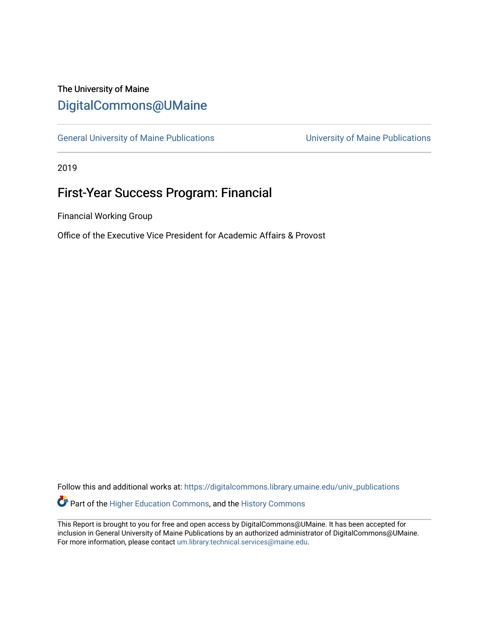## The University of Maine [DigitalCommons@UMaine](https://digitalcommons.library.umaine.edu/)

[General University of Maine Publications](https://digitalcommons.library.umaine.edu/univ_publications) [University of Maine Publications](https://digitalcommons.library.umaine.edu/umaine_publications) 

2019

# First-Year Success Program: Financial

Financial Working Group

Office of the Executive Vice President for Academic Affairs & Provost

Follow this and additional works at: [https://digitalcommons.library.umaine.edu/univ\\_publications](https://digitalcommons.library.umaine.edu/univ_publications?utm_source=digitalcommons.library.umaine.edu%2Funiv_publications%2F1967&utm_medium=PDF&utm_campaign=PDFCoverPages) 

Part of the [Higher Education Commons,](http://network.bepress.com/hgg/discipline/1245?utm_source=digitalcommons.library.umaine.edu%2Funiv_publications%2F1967&utm_medium=PDF&utm_campaign=PDFCoverPages) and the [History Commons](http://network.bepress.com/hgg/discipline/489?utm_source=digitalcommons.library.umaine.edu%2Funiv_publications%2F1967&utm_medium=PDF&utm_campaign=PDFCoverPages)

This Report is brought to you for free and open access by DigitalCommons@UMaine. It has been accepted for inclusion in General University of Maine Publications by an authorized administrator of DigitalCommons@UMaine. For more information, please contact [um.library.technical.services@maine.edu](mailto:um.library.technical.services@maine.edu).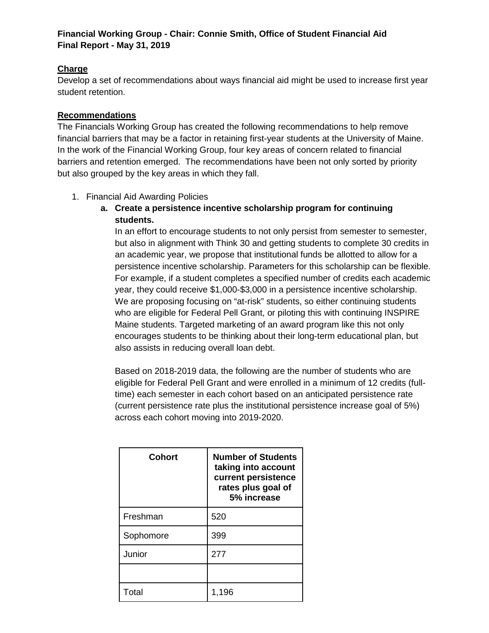## **Financial Working Group - Chair: Connie Smith, Office of Student Financial Aid Final Report - May 31, 2019**

## **Charge**

Develop a set of recommendations about ways financial aid might be used to increase first year student retention.

## **Recommendations**

The Financials Working Group has created the following recommendations to help remove financial barriers that may be a factor in retaining first-year students at the University of Maine. In the work of the Financial Working Group, four key areas of concern related to financial barriers and retention emerged. The recommendations have been not only sorted by priority but also grouped by the key areas in which they fall.

- 1. Financial Aid Awarding Policies
	- **a. Create a persistence incentive scholarship program for continuing students.**

In an effort to encourage students to not only persist from semester to semester, but also in alignment with Think 30 and getting students to complete 30 credits in an academic year, we propose that institutional funds be allotted to allow for a persistence incentive scholarship. Parameters for this scholarship can be flexible. For example, if a student completes a specified number of credits each academic year, they could receive \$1,000-\$3,000 in a persistence incentive scholarship. We are proposing focusing on "at-risk" students, so either continuing students who are eligible for Federal Pell Grant, or piloting this with continuing INSPIRE Maine students. Targeted marketing of an award program like this not only encourages students to be thinking about their long-term educational plan, but also assists in reducing overall loan debt.

Based on 2018-2019 data, the following are the number of students who are eligible for Federal Pell Grant and were enrolled in a minimum of 12 credits (fulltime) each semester in each cohort based on an anticipated persistence rate (current persistence rate plus the institutional persistence increase goal of 5%) across each cohort moving into 2019-2020.

| <b>Cohort</b> | <b>Number of Students</b><br>taking into account<br>current persistence<br>rates plus goal of<br>5% increase |
|---------------|--------------------------------------------------------------------------------------------------------------|
| Freshman      | 520                                                                                                          |
| Sophomore     | 399                                                                                                          |
| Junior        | 277                                                                                                          |
|               |                                                                                                              |
| Total         | 1,196                                                                                                        |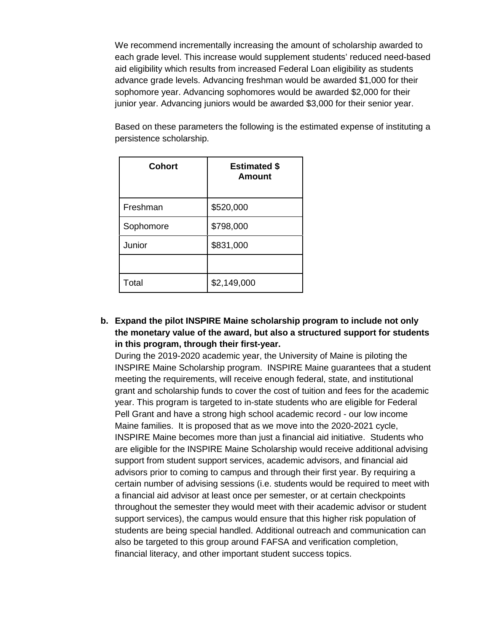We recommend incrementally increasing the amount of scholarship awarded to each grade level. This increase would supplement students' reduced need-based aid eligibility which results from increased Federal Loan eligibility as students advance grade levels. Advancing freshman would be awarded \$1,000 for their sophomore year. Advancing sophomores would be awarded \$2,000 for their junior year. Advancing juniors would be awarded \$3,000 for their senior year.

Based on these parameters the following is the estimated expense of instituting a persistence scholarship.

| <b>Cohort</b> | <b>Estimated \$</b><br><b>Amount</b> |
|---------------|--------------------------------------|
| Freshman      | \$520,000                            |
| Sophomore     | \$798,000                            |
| Junior        | \$831,000                            |
|               |                                      |
| Total         | \$2,149,000                          |

**b. Expand the pilot INSPIRE Maine scholarship program to include not only the monetary value of the award, but also a structured support for students in this program, through their first-year.**

During the 2019-2020 academic year, the University of Maine is piloting the INSPIRE Maine Scholarship program. INSPIRE Maine guarantees that a student meeting the requirements, will receive enough federal, state, and institutional grant and scholarship funds to cover the cost of tuition and fees for the academic year. This program is targeted to in-state students who are eligible for Federal Pell Grant and have a strong high school academic record - our low income Maine families. It is proposed that as we move into the 2020-2021 cycle, INSPIRE Maine becomes more than just a financial aid initiative. Students who are eligible for the INSPIRE Maine Scholarship would receive additional advising support from student support services, academic advisors, and financial aid advisors prior to coming to campus and through their first year. By requiring a certain number of advising sessions (i.e. students would be required to meet with a financial aid advisor at least once per semester, or at certain checkpoints throughout the semester they would meet with their academic advisor or student support services), the campus would ensure that this higher risk population of students are being special handled. Additional outreach and communication can also be targeted to this group around FAFSA and verification completion, financial literacy, and other important student success topics.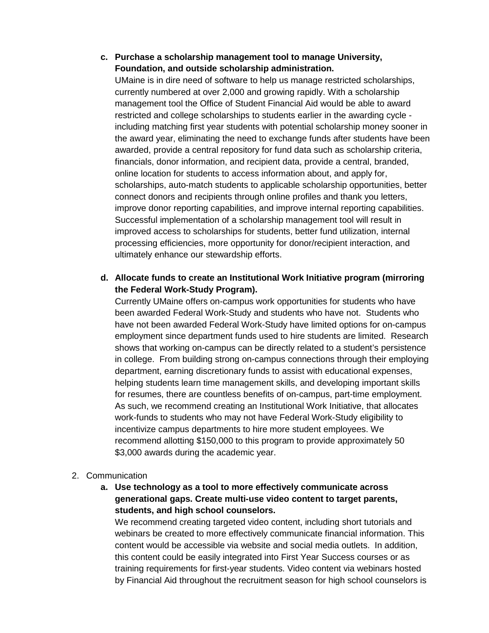## **c. Purchase a scholarship management tool to manage University, Foundation, and outside scholarship administration.**

UMaine is in dire need of software to help us manage restricted scholarships, currently numbered at over 2,000 and growing rapidly. With a scholarship management tool the Office of Student Financial Aid would be able to award restricted and college scholarships to students earlier in the awarding cycle including matching first year students with potential scholarship money sooner in the award year, eliminating the need to exchange funds after students have been awarded, provide a central repository for fund data such as scholarship criteria, financials, donor information, and recipient data, provide a central, branded, online location for students to access information about, and apply for, scholarships, auto-match students to applicable scholarship opportunities, better connect donors and recipients through online profiles and thank you letters, improve donor reporting capabilities, and improve internal reporting capabilities. Successful implementation of a scholarship management tool will result in improved access to scholarships for students, better fund utilization, internal processing efficiencies, more opportunity for donor/recipient interaction, and ultimately enhance our stewardship efforts.

## **d. Allocate funds to create an Institutional Work Initiative program (mirroring the Federal Work-Study Program).**

Currently UMaine offers on-campus work opportunities for students who have been awarded Federal Work-Study and students who have not. Students who have not been awarded Federal Work-Study have limited options for on-campus employment since department funds used to hire students are limited. Research shows that working on-campus can be directly related to a student's persistence in college. From building strong on-campus connections through their employing department, earning discretionary funds to assist with educational expenses, helping students learn time management skills, and developing important skills for resumes, there are countless benefits of on-campus, part-time employment. As such, we recommend creating an Institutional Work Initiative, that allocates work-funds to students who may not have Federal Work-Study eligibility to incentivize campus departments to hire more student employees. We recommend allotting \$150,000 to this program to provide approximately 50 \$3,000 awards during the academic year.

#### 2. Communication

**a. Use technology as a tool to more effectively communicate across generational gaps. Create multi-use video content to target parents, students, and high school counselors.**

We recommend creating targeted video content, including short tutorials and webinars be created to more effectively communicate financial information. This content would be accessible via website and social media outlets. In addition, this content could be easily integrated into First Year Success courses or as training requirements for first-year students. Video content via webinars hosted by Financial Aid throughout the recruitment season for high school counselors is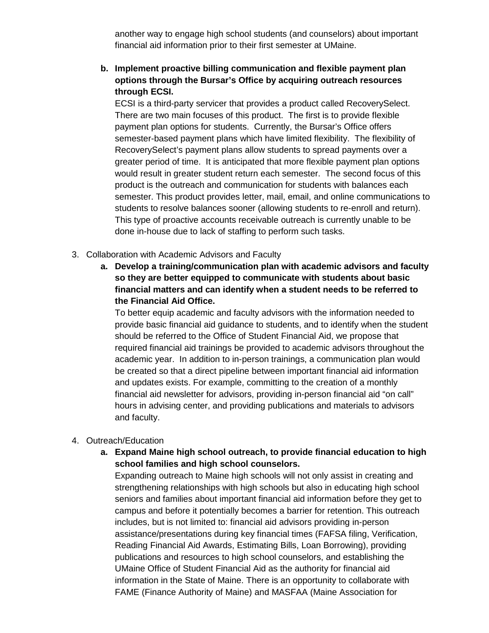another way to engage high school students (and counselors) about important financial aid information prior to their first semester at UMaine.

**b. Implement proactive billing communication and flexible payment plan options through the Bursar's Office by acquiring outreach resources through ECSI.** 

ECSI is a third-party servicer that provides a product called RecoverySelect. There are two main focuses of this product. The first is to provide flexible payment plan options for students. Currently, the Bursar's Office offers semester-based payment plans which have limited flexibility. The flexibility of RecoverySelect's payment plans allow students to spread payments over a greater period of time. It is anticipated that more flexible payment plan options would result in greater student return each semester. The second focus of this product is the outreach and communication for students with balances each semester. This product provides letter, mail, email, and online communications to students to resolve balances sooner (allowing students to re-enroll and return). This type of proactive accounts receivable outreach is currently unable to be done in-house due to lack of staffing to perform such tasks.

- 3. Collaboration with Academic Advisors and Faculty
	- **a. Develop a training/communication plan with academic advisors and faculty so they are better equipped to communicate with students about basic financial matters and can identify when a student needs to be referred to the Financial Aid Office.**

To better equip academic and faculty advisors with the information needed to provide basic financial aid guidance to students, and to identify when the student should be referred to the Office of Student Financial Aid, we propose that required financial aid trainings be provided to academic advisors throughout the academic year. In addition to in-person trainings, a communication plan would be created so that a direct pipeline between important financial aid information and updates exists. For example, committing to the creation of a monthly financial aid newsletter for advisors, providing in-person financial aid "on call" hours in advising center, and providing publications and materials to advisors and faculty.

#### 4. Outreach/Education

**a. Expand Maine high school outreach, to provide financial education to high school families and high school counselors.**

Expanding outreach to Maine high schools will not only assist in creating and strengthening relationships with high schools but also in educating high school seniors and families about important financial aid information before they get to campus and before it potentially becomes a barrier for retention. This outreach includes, but is not limited to: financial aid advisors providing in-person assistance/presentations during key financial times (FAFSA filing, Verification, Reading Financial Aid Awards, Estimating Bills, Loan Borrowing), providing publications and resources to high school counselors, and establishing the UMaine Office of Student Financial Aid as the authority for financial aid information in the State of Maine. There is an opportunity to collaborate with FAME (Finance Authority of Maine) and MASFAA (Maine Association for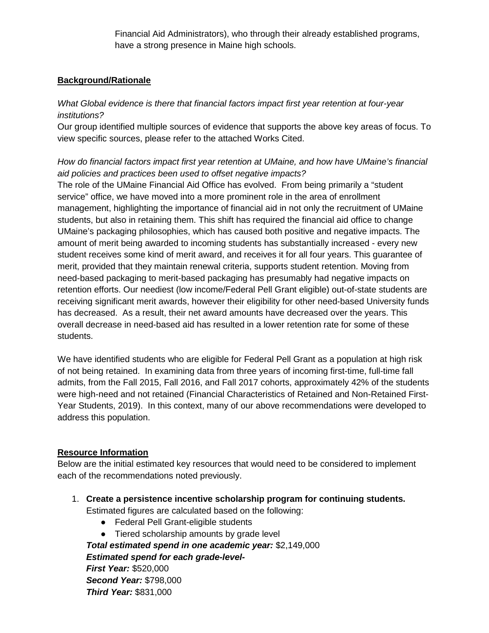Financial Aid Administrators), who through their already established programs, have a strong presence in Maine high schools.

## **Background/Rationale**

## *What Global evidence is there that financial factors impact first year retention at four-year institutions?*

Our group identified multiple sources of evidence that supports the above key areas of focus. To view specific sources, please refer to the attached Works Cited.

## *How do financial factors impact first year retention at UMaine, and how have UMaine's financial aid policies and practices been used to offset negative impacts?*

The role of the UMaine Financial Aid Office has evolved. From being primarily a "student service" office, we have moved into a more prominent role in the area of enrollment management, highlighting the importance of financial aid in not only the recruitment of UMaine students, but also in retaining them. This shift has required the financial aid office to change UMaine's packaging philosophies, which has caused both positive and negative impacts. The amount of merit being awarded to incoming students has substantially increased - every new student receives some kind of merit award, and receives it for all four years. This guarantee of merit, provided that they maintain renewal criteria, supports student retention. Moving from need-based packaging to merit-based packaging has presumably had negative impacts on retention efforts. Our neediest (low income/Federal Pell Grant eligible) out-of-state students are receiving significant merit awards, however their eligibility for other need-based University funds has decreased. As a result, their net award amounts have decreased over the years. This overall decrease in need-based aid has resulted in a lower retention rate for some of these students.

We have identified students who are eligible for Federal Pell Grant as a population at high risk of not being retained. In examining data from three years of incoming first-time, full-time fall admits, from the Fall 2015, Fall 2016, and Fall 2017 cohorts, approximately 42% of the students were high-need and not retained (Financial Characteristics of Retained and Non-Retained First-Year Students, 2019). In this context, many of our above recommendations were developed to address this population.

#### **Resource Information**

Below are the initial estimated key resources that would need to be considered to implement each of the recommendations noted previously.

- 1. **Create a persistence incentive scholarship program for continuing students.** Estimated figures are calculated based on the following:
	- Federal Pell Grant-eligible students
	- Tiered scholarship amounts by grade level

*Total estimated spend in one academic year:* \$2,149,000 *Estimated spend for each grade-level-First Year:* \$520,000 *Second Year:* \$798,000 *Third Year:* \$831,000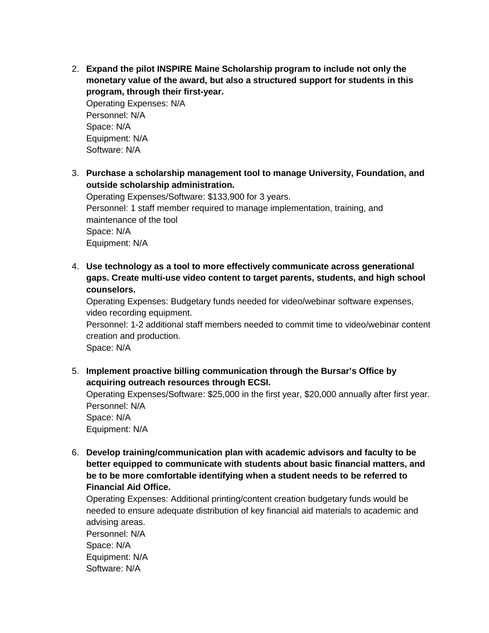2. **Expand the pilot INSPIRE Maine Scholarship program to include not only the monetary value of the award, but also a structured support for students in this program, through their first-year.**

Operating Expenses: N/A Personnel: N/A Space: N/A Equipment: N/A Software: N/A

3. **Purchase a scholarship management tool to manage University, Foundation, and outside scholarship administration.** 

Operating Expenses/Software: \$133,900 for 3 years. Personnel: 1 staff member required to manage implementation, training, and maintenance of the tool Space: N/A Equipment: N/A

4. **Use technology as a tool to more effectively communicate across generational gaps. Create multi-use video content to target parents, students, and high school counselors.**

Operating Expenses: Budgetary funds needed for video/webinar software expenses, video recording equipment.

Personnel: 1-2 additional staff members needed to commit time to video/webinar content creation and production.

Space: N/A

5. **Implement proactive billing communication through the Bursar's Office by acquiring outreach resources through ECSI.**

Operating Expenses/Software: \$25,000 in the first year, \$20,000 annually after first year. Personnel: N/A Space: N/A

Equipment: N/A

6. **Develop training/communication plan with academic advisors and faculty to be better equipped to communicate with students about basic financial matters, and be to be more comfortable identifying when a student needs to be referred to Financial Aid Office.** 

Operating Expenses: Additional printing/content creation budgetary funds would be needed to ensure adequate distribution of key financial aid materials to academic and advising areas.

Personnel: N/A Space: N/A Equipment: N/A Software: N/A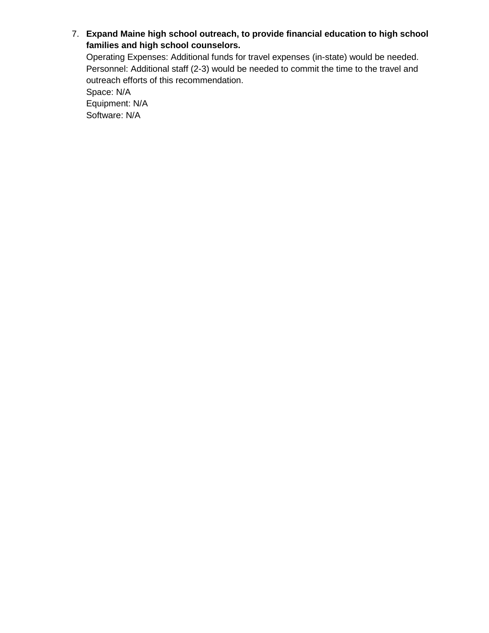7. **Expand Maine high school outreach, to provide financial education to high school families and high school counselors.**

Operating Expenses: Additional funds for travel expenses (in-state) would be needed. Personnel: Additional staff (2-3) would be needed to commit the time to the travel and outreach efforts of this recommendation.

Space: N/A Equipment: N/A Software: N/A